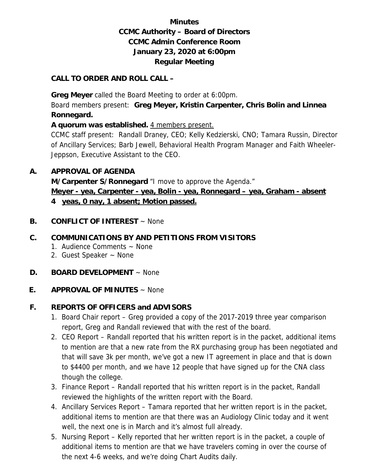# **Minutes CCMC Authority – Board of Directors CCMC Admin Conference Room January 23, 2020 at 6:00pm Regular Meeting**

#### **CALL TO ORDER AND ROLL CALL –**

 **Greg Meyer** called the Board Meeting to order at 6:00pm.

Board members present: **Greg Meyer, Kristin Carpenter, Chris Bolin and Linnea Ronnegard.** 

**A quorum was established.** 4 members present.

CCMC staff present: Randall Draney, CEO; Kelly Kedzierski, CNO; Tamara Russin, Director of Ancillary Services; Barb Jewell, Behavioral Health Program Manager and Faith Wheeler-Jeppson, Executive Assistant to the CEO.

#### **A. APPROVAL OF AGENDA**

**M/Carpenter S/Ronnegard** "I move to approve the Agenda." **Meyer - yea, Carpenter - yea, Bolin - yea, Ronnegard – yea, Graham - absent 4 yeas, 0 nay, 1 absent; Motion passed.** 

**B. CONFLICT OF INTEREST** ~ None

## **C. COMMUNICATIONS BY AND PETITIONS FROM VISITORS**

- 1. Audience Comments ~ None
- 2. Guest Speaker ~ None
- **D. BOARD DEVELOPMENT** ~ None
- **E. APPROVAL OF MINUTES** ~ None

## **F. REPORTS OF OFFICERS and ADVISORS**

- 1. Board Chair report Greg provided a copy of the 2017-2019 three year comparison report, Greg and Randall reviewed that with the rest of the board.
- 2. CEO Report Randall reported that his written report is in the packet, additional items to mention are that a new rate from the RX purchasing group has been negotiated and that will save 3k per month, we've got a new IT agreement in place and that is down to \$4400 per month, and we have 12 people that have signed up for the CNA class though the college.
- 3. Finance Report Randall reported that his written report is in the packet, Randall reviewed the highlights of the written report with the Board.
- 4. Ancillary Services Report Tamara reported that her written report is in the packet, additional items to mention are that there was an Audiology Clinic today and it went well, the next one is in March and it's almost full already.
- 5. Nursing Report Kelly reported that her written report is in the packet, a couple of additional items to mention are that we have travelers coming in over the course of the next 4-6 weeks, and we're doing Chart Audits daily.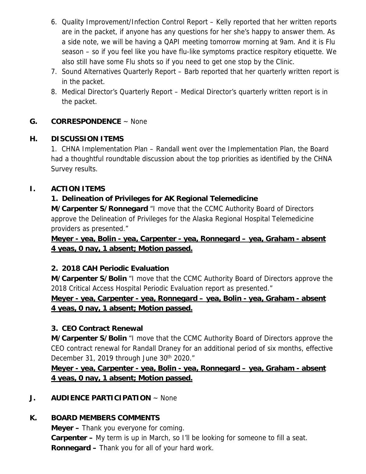- 6. Quality Improvement/Infection Control Report Kelly reported that her written reports are in the packet, if anyone has any questions for her she's happy to answer them. As a side note, we will be having a QAPI meeting tomorrow morning at 9am. And it is Flu season – so if you feel like you have flu-like symptoms practice respitory etiquette. We also still have some Flu shots so if you need to get one stop by the Clinic.
- 7. Sound Alternatives Quarterly Report Barb reported that her quarterly written report is in the packet.
- 8. Medical Director's Quarterly Report Medical Director's quarterly written report is in the packet.

## **G. CORRESPONDENCE** ~ None

## **H. DISCUSSION ITEMS**

1. CHNA Implementation Plan – Randall went over the Implementation Plan, the Board had a thoughtful roundtable discussion about the top priorities as identified by the CHNA Survey results.

## **I. ACTION ITEMS**

## **1. Delineation of Privileges for AK Regional Telemedicine**

**M/Carpenter S/Ronnegard** "I move that the CCMC Authority Board of Directors approve the Delineation of Privileges for the Alaska Regional Hospital Telemedicine providers as presented."

**Meyer - yea, Bolin - yea, Carpenter - yea, Ronnegard – yea, Graham - absent 4 yeas, 0 nay, 1 absent; Motion passed.** 

## **2. 2018 CAH Periodic Evaluation**

**M/Carpenter S/Bolin** "I move that the CCMC Authority Board of Directors approve the 2018 Critical Access Hospital Periodic Evaluation report as presented."

# **Meyer - yea, Carpenter - yea, Ronnegard – yea, Bolin - yea, Graham - absent 4 yeas, 0 nay, 1 absent; Motion passed.**

## **3. CEO Contract Renewal**

**M/Carpenter S/Bolin** "I move that the CCMC Authority Board of Directors approve the CEO contract renewal for Randall Draney for an additional period of six months, effective December 31, 2019 through June 30<sup>th</sup> 2020."

## **Meyer - yea, Carpenter - yea, Bolin - yea, Ronnegard – yea, Graham - absent 4 yeas, 0 nay, 1 absent; Motion passed.**

## **J. AUDIENCE PARTICIPATION** ~ None

# **K. BOARD MEMBERS COMMENTS**

 **Meyer –** Thank you everyone for coming.  **Carpenter –** My term is up in March, so I'll be looking for someone to fill a seat.  **Ronnegard –** Thank you for all of your hard work.